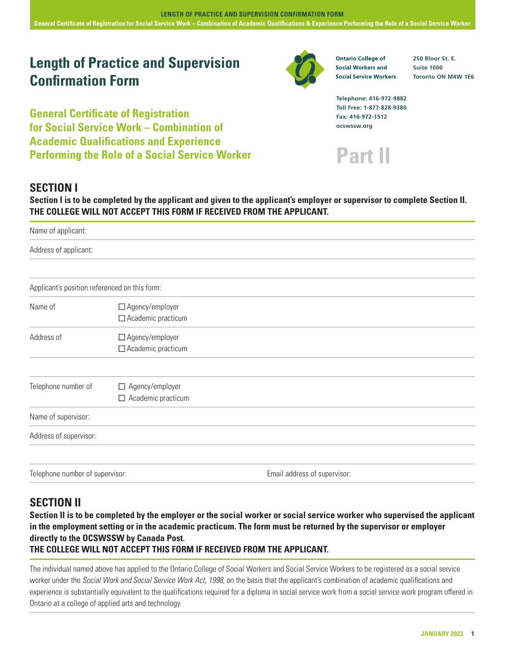# **Length of Practice and Supervision Confirmation Form**

**General Certificate of Registration for Social Service Work – Combination of Academic Qualifications and Experience Performing the Role of a Social Service Worker**



**Ontario College of Social Workers and Social Service Workers**  **250 Bloor St. E. Suite 1000 Toronto ON M4W 1E6**

**Telephone: 416-972-9882 Toll Free: 1-877-828-9380 Fax: 416-972-1512 ocswssw.org**



# **SECTION I**

**Section I is to be completed by the applicant and given to the applicant's employer or supervisor to complete Section II. THE COLLEGE WILL NOT ACCEPT THIS FORM IF RECEIVED FROM THE APPLICANT.**

| Name of applicant:                            |                                                     |                              |  |  |
|-----------------------------------------------|-----------------------------------------------------|------------------------------|--|--|
| Address of applicant:                         |                                                     |                              |  |  |
|                                               |                                                     |                              |  |  |
| Applicant's position referenced on this form: |                                                     |                              |  |  |
| Name of                                       | $\Box$ Agency/employer<br>$\Box$ Academic practicum |                              |  |  |
| Address of                                    | □ Agency/employer<br>$\Box$ Academic practicum      |                              |  |  |
|                                               |                                                     |                              |  |  |
| Telephone number of                           | □ Agency/employer<br>$\Box$ Academic practicum      |                              |  |  |
| Name of supervisor:                           |                                                     |                              |  |  |
| Address of supervisor:                        |                                                     |                              |  |  |
|                                               |                                                     |                              |  |  |
| Telephone number of supervisor:               |                                                     | Email address of supervisor: |  |  |

# **SECTION II**

**Section II is to be completed by the employer or the social worker or social service worker who supervised the applicant in the employment setting or in the academic practicum. The form must be returned by the supervisor or employer directly to the OCSWSSW by Canada Post.** 

# **THE COLLEGE WILL NOT ACCEPT THIS FORM IF RECEIVED FROM THE APPLICANT.**

The individual named above has applied to the Ontario College of Social Workers and Social Service Workers to be registered as a social service worker under the *Social Work and Social Service Work Act, 1998*, on the basis that the applicant's combination of academic qualifications and experience is substantially equivalent to the qualifications required for a diploma in social service work from a social service work program offered in Ontario at a college of applied arts and technology.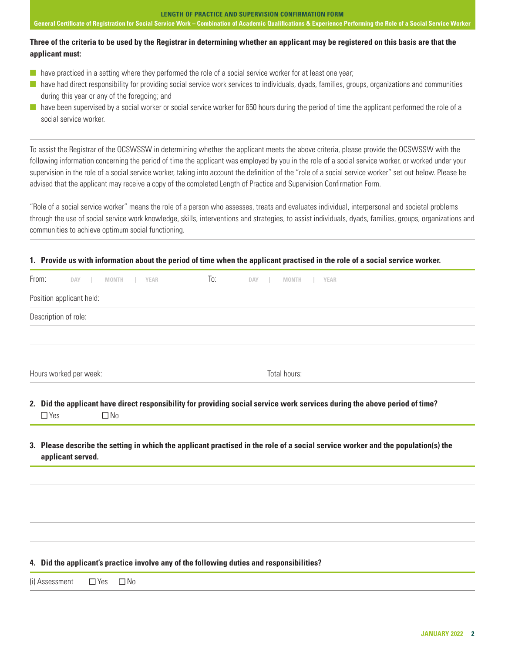## **LENGTH OF PRACTICE AND SUPERVISION CONFIRMATION FORM**

**General Certificate of Registration for Social Service Work – Combination of Academic Qualifications & Experience Performing the Role of a Social Service Worker**

# **Three of the criteria to be used by the Registrar in determining whether an applicant may be registered on this basis are that the applicant must:**

- $\blacksquare$  have practiced in a setting where they performed the role of a social service worker for at least one year;
- $\blacksquare$  have had direct responsibility for providing social service work services to individuals, dyads, families, groups, organizations and communities during this year or any of the foregoing; and
- **n** have been supervised by a social worker or social service worker for 650 hours during the period of time the applicant performed the role of a social service worker.

To assist the Registrar of the OCSWSSW in determining whether the applicant meets the above criteria, please provide the OCSWSSW with the following information concerning the period of time the applicant was employed by you in the role of a social service worker, or worked under your supervision in the role of a social service worker, taking into account the definition of the "role of a social service worker" set out below. Please be advised that the applicant may receive a copy of the completed Length of Practice and Supervision Confirmation Form.

"Role of a social service worker" means the role of a person who assesses, treats and evaluates individual, interpersonal and societal problems through the use of social service work knowledge, skills, interventions and strategies, to assist individuals, dyads, families, groups, organizations and communities to achieve optimum social functioning.

# **1. Provide us with information about the period of time when the applicant practised in the role of a social service worker.**

|                          | To:<br>DAY<br><b>MONTH</b><br><b>YEAR</b>                                                                                        |
|--------------------------|----------------------------------------------------------------------------------------------------------------------------------|
| Position applicant held: |                                                                                                                                  |
| Description of role:     |                                                                                                                                  |
|                          |                                                                                                                                  |
| Hours worked per week:   | Total hours:                                                                                                                     |
|                          |                                                                                                                                  |
|                          | 2. Did the applicant have direct responsibility for providing social service work services during the above period of time?      |
| $\Box$ Yes<br>$\Box$ No  |                                                                                                                                  |
|                          |                                                                                                                                  |
| applicant served.        | 3. Please describe the setting in which the applicant practised in the role of a social service worker and the population(s) the |
|                          |                                                                                                                                  |
|                          |                                                                                                                                  |
|                          |                                                                                                                                  |
|                          | 4. Did the applicant's practice involve any of the following duties and responsibilities?                                        |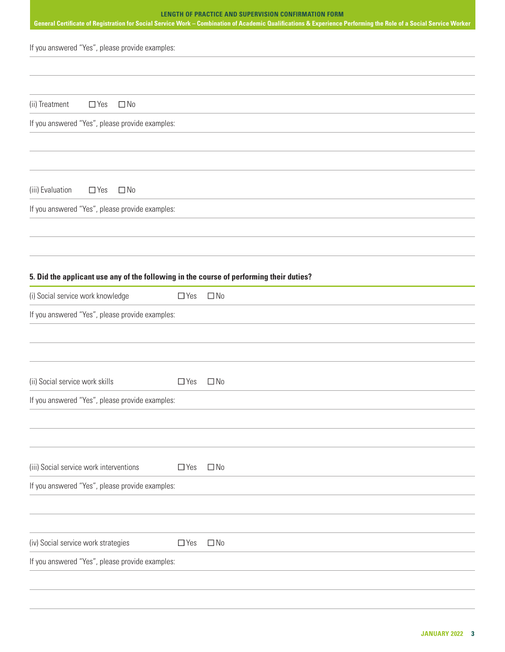| <b>LENGTH OF PRACTICE AND SUPERVISION CONFIRMATION FORM</b><br>General Certificate of Registration for Social Service Work - Combination of Academic Qualifications & Experience Performing the Role of a Social Service Worker |                         |  |  |  |
|---------------------------------------------------------------------------------------------------------------------------------------------------------------------------------------------------------------------------------|-------------------------|--|--|--|
| If you answered "Yes", please provide examples:                                                                                                                                                                                 |                         |  |  |  |
|                                                                                                                                                                                                                                 |                         |  |  |  |
| (ii) Treatment<br>$\Box$ No<br>$\Box$ Yes                                                                                                                                                                                       |                         |  |  |  |
| If you answered "Yes", please provide examples:                                                                                                                                                                                 |                         |  |  |  |
|                                                                                                                                                                                                                                 |                         |  |  |  |
| (iii) Evaluation<br>$\Box$ No<br>$\Box$ Yes                                                                                                                                                                                     |                         |  |  |  |
| If you answered "Yes", please provide examples:                                                                                                                                                                                 |                         |  |  |  |
|                                                                                                                                                                                                                                 |                         |  |  |  |
| 5. Did the applicant use any of the following in the course of performing their duties?                                                                                                                                         |                         |  |  |  |
| (i) Social service work knowledge                                                                                                                                                                                               | $\Box$ Yes<br>$\Box$ No |  |  |  |
| If you answered "Yes", please provide examples:                                                                                                                                                                                 |                         |  |  |  |
|                                                                                                                                                                                                                                 |                         |  |  |  |
| (ii) Social service work skills                                                                                                                                                                                                 | $\Box$ Yes<br>$\Box$ No |  |  |  |
| If you answered "Yes", please provide examples:                                                                                                                                                                                 |                         |  |  |  |
|                                                                                                                                                                                                                                 |                         |  |  |  |
| (iii) Social service work interventions                                                                                                                                                                                         | $\Box$ Yes<br>$\Box$ No |  |  |  |
| If you answered "Yes", please provide examples:                                                                                                                                                                                 |                         |  |  |  |
|                                                                                                                                                                                                                                 |                         |  |  |  |
| (iv) Social service work strategies                                                                                                                                                                                             | $\Box$ Yes<br>$\Box$ No |  |  |  |
| If you answered "Yes", please provide examples:                                                                                                                                                                                 |                         |  |  |  |
|                                                                                                                                                                                                                                 |                         |  |  |  |